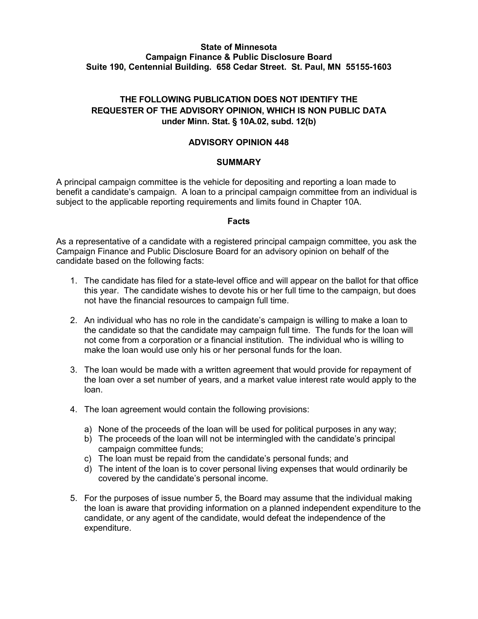### **State of Minnesota Campaign Finance & Public Disclosure Board Suite 190, Centennial Building. 658 Cedar Street. St. Paul, MN 55155-1603**

# **THE FOLLOWING PUBLICATION DOES NOT IDENTIFY THE REQUESTER OF THE ADVISORY OPINION, WHICH IS NON PUBLIC DATA under Minn. Stat. § 10A.02, subd. 12(b)**

### **ADVISORY OPINION 448**

#### **SUMMARY**

A principal campaign committee is the vehicle for depositing and reporting a loan made to benefit a candidate's campaign. A loan to a principal campaign committee from an individual is subject to the applicable reporting requirements and limits found in Chapter 10A.

#### **Facts**

As a representative of a candidate with a registered principal campaign committee, you ask the Campaign Finance and Public Disclosure Board for an advisory opinion on behalf of the candidate based on the following facts:

- 1. The candidate has filed for a state-level office and will appear on the ballot for that office this year. The candidate wishes to devote his or her full time to the campaign, but does not have the financial resources to campaign full time.
- 2. An individual who has no role in the candidate's campaign is willing to make a loan to the candidate so that the candidate may campaign full time. The funds for the loan will not come from a corporation or a financial institution. The individual who is willing to make the loan would use only his or her personal funds for the loan.
- 3. The loan would be made with a written agreement that would provide for repayment of the loan over a set number of years, and a market value interest rate would apply to the loan.
- 4. The loan agreement would contain the following provisions:
	- a) None of the proceeds of the loan will be used for political purposes in any way;
	- b) The proceeds of the loan will not be intermingled with the candidate's principal campaign committee funds;
	- c) The loan must be repaid from the candidate's personal funds; and
	- d) The intent of the loan is to cover personal living expenses that would ordinarily be covered by the candidate's personal income.
- 5. For the purposes of issue number 5, the Board may assume that the individual making the loan is aware that providing information on a planned independent expenditure to the candidate, or any agent of the candidate, would defeat the independence of the expenditure.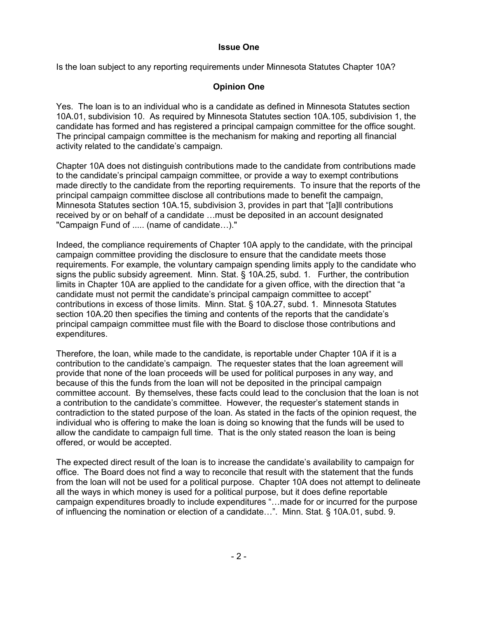# **Issue One**

Is the loan subject to any reporting requirements under Minnesota Statutes Chapter 10A?

# **Opinion One**

Yes. The loan is to an individual who is a candidate as defined in Minnesota Statutes section 10A.01, subdivision 10. As required by Minnesota Statutes section 10A.105, subdivision 1, the candidate has formed and has registered a principal campaign committee for the office sought. The principal campaign committee is the mechanism for making and reporting all financial activity related to the candidate's campaign.

Chapter 10A does not distinguish contributions made to the candidate from contributions made to the candidate's principal campaign committee, or provide a way to exempt contributions made directly to the candidate from the reporting requirements. To insure that the reports of the principal campaign committee disclose all contributions made to benefit the campaign, Minnesota Statutes section 10A.15, subdivision 3, provides in part that "[a]ll contributions received by or on behalf of a candidate …must be deposited in an account designated "Campaign Fund of ..... (name of candidate…)."

Indeed, the compliance requirements of Chapter 10A apply to the candidate, with the principal campaign committee providing the disclosure to ensure that the candidate meets those requirements. For example, the voluntary campaign spending limits apply to the candidate who signs the public subsidy agreement. Minn. Stat. § 10A.25, subd. 1. Further, the contribution limits in Chapter 10A are applied to the candidate for a given office, with the direction that "a candidate must not permit the candidate's principal campaign committee to accept" contributions in excess of those limits. Minn. Stat. § 10A.27, subd. 1. Minnesota Statutes section 10A.20 then specifies the timing and contents of the reports that the candidate's principal campaign committee must file with the Board to disclose those contributions and expenditures.

Therefore, the loan, while made to the candidate, is reportable under Chapter 10A if it is a contribution to the candidate's campaign. The requester states that the loan agreement will provide that none of the loan proceeds will be used for political purposes in any way, and because of this the funds from the loan will not be deposited in the principal campaign committee account. By themselves, these facts could lead to the conclusion that the loan is not a contribution to the candidate's committee. However, the requester's statement stands in contradiction to the stated purpose of the loan. As stated in the facts of the opinion request, the individual who is offering to make the loan is doing so knowing that the funds will be used to allow the candidate to campaign full time. That is the only stated reason the loan is being offered, or would be accepted.

The expected direct result of the loan is to increase the candidate's availability to campaign for office. The Board does not find a way to reconcile that result with the statement that the funds from the loan will not be used for a political purpose. Chapter 10A does not attempt to delineate all the ways in which money is used for a political purpose, but it does define reportable campaign expenditures broadly to include expenditures "…made for or incurred for the purpose of influencing the nomination or election of a candidate…". Minn. Stat. § 10A.01, subd. 9.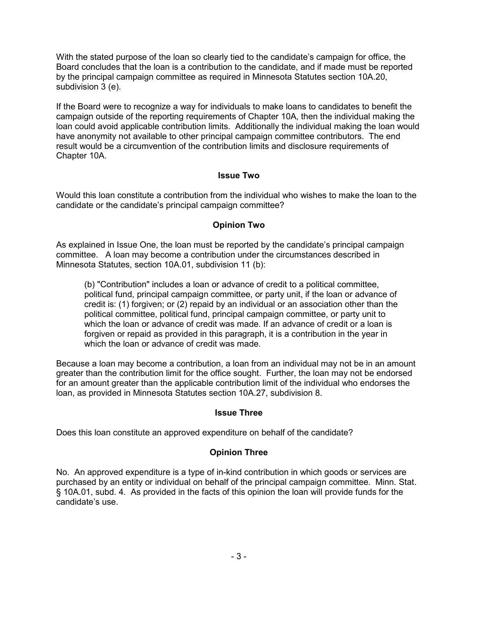With the stated purpose of the loan so clearly tied to the candidate's campaign for office, the Board concludes that the loan is a contribution to the candidate, and if made must be reported by the principal campaign committee as required in Minnesota Statutes section 10A.20, subdivision 3 (e).

If the Board were to recognize a way for individuals to make loans to candidates to benefit the campaign outside of the reporting requirements of Chapter 10A, then the individual making the loan could avoid applicable contribution limits. Additionally the individual making the loan would have anonymity not available to other principal campaign committee contributors. The end result would be a circumvention of the contribution limits and disclosure requirements of Chapter 10A.

# **Issue Two**

Would this loan constitute a contribution from the individual who wishes to make the loan to the candidate or the candidate's principal campaign committee?

### **Opinion Two**

As explained in Issue One, the loan must be reported by the candidate's principal campaign committee. A loan may become a contribution under the circumstances described in Minnesota Statutes, section 10A.01, subdivision 11 (b):

(b) "Contribution" includes a loan or advance of credit to a political committee, political fund, principal campaign committee, or party unit, if the loan or advance of credit is: (1) forgiven; or (2) repaid by an individual or an association other than the political committee, political fund, principal campaign committee, or party unit to which the loan or advance of credit was made. If an advance of credit or a loan is forgiven or repaid as provided in this paragraph, it is a contribution in the year in which the loan or advance of credit was made.

Because a loan may become a contribution, a loan from an individual may not be in an amount greater than the contribution limit for the office sought. Further, the loan may not be endorsed for an amount greater than the applicable contribution limit of the individual who endorses the loan, as provided in Minnesota Statutes section 10A.27, subdivision 8.

#### **Issue Three**

Does this loan constitute an approved expenditure on behalf of the candidate?

#### **Opinion Three**

No. An approved expenditure is a type of in-kind contribution in which goods or services are purchased by an entity or individual on behalf of the principal campaign committee. Minn. Stat. § 10A.01, subd. 4. As provided in the facts of this opinion the loan will provide funds for the candidate's use.